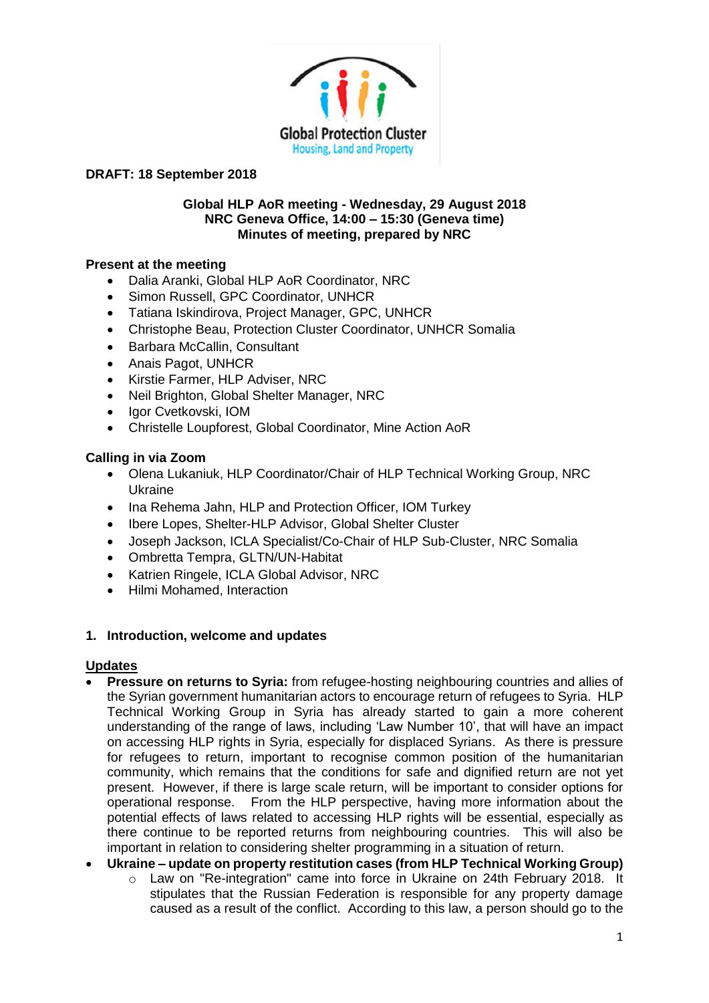

#### **Global HLP AoR meeting - Wednesday, 29 August 2018 NRC Geneva Office, 14:00 – 15:30 (Geneva time) Minutes of meeting, prepared by NRC**

## **Present at the meeting**

- Dalia Aranki, Global HLP AoR Coordinator, NRC
- Simon Russell, GPC Coordinator, UNHCR
- Tatiana Iskindirova, Project Manager, GPC, UNHCR
- Christophe Beau, Protection Cluster Coordinator, UNHCR Somalia
- Barbara McCallin, Consultant
- Anais Pagot, UNHCR
- Kirstie Farmer, HLP Adviser, NRC
- Neil Brighton, Global Shelter Manager, NRC
- Igor Cvetkovski, IOM
- Christelle Loupforest, Global Coordinator, Mine Action AoR

## **Calling in via Zoom**

- Olena Lukaniuk, HLP Coordinator/Chair of HLP Technical Working Group, NRC Ukraine
- Ina Rehema Jahn, HLP and Protection Officer, IOM Turkey
- Ibere Lopes, Shelter-HLP Advisor, Global Shelter Cluster
- Joseph Jackson, ICLA Specialist/Co-Chair of HLP Sub-Cluster, NRC Somalia
- Ombretta Tempra, GLTN/UN-Habitat
- Katrien Ringele, ICLA Global Advisor, NRC
- Hilmi Mohamed, Interaction

## **1. Introduction, welcome and updates**

#### **Updates**

- **Pressure on returns to Syria:** from refugee-hosting neighbouring countries and allies of the Syrian government humanitarian actors to encourage return of refugees to Syria. HLP Technical Working Group in Syria has already started to gain a more coherent understanding of the range of laws, including 'Law Number 10', that will have an impact on accessing HLP rights in Syria, especially for displaced Syrians. As there is pressure for refugees to return, important to recognise common position of the humanitarian community, which remains that the conditions for safe and dignified return are not yet present. However, if there is large scale return, will be important to consider options for operational response. From the HLP perspective, having more information about the potential effects of laws related to accessing HLP rights will be essential, especially as there continue to be reported returns from neighbouring countries. This will also be important in relation to considering shelter programming in a situation of return.
- **Ukraine – update on property restitution cases (from HLP Technical Working Group)**
	- $\circ$  Law on "Re-integration" came into force in Ukraine on 24th February 2018. It stipulates that the Russian Federation is responsible for any property damage caused as a result of the conflict. According to this law, a person should go to the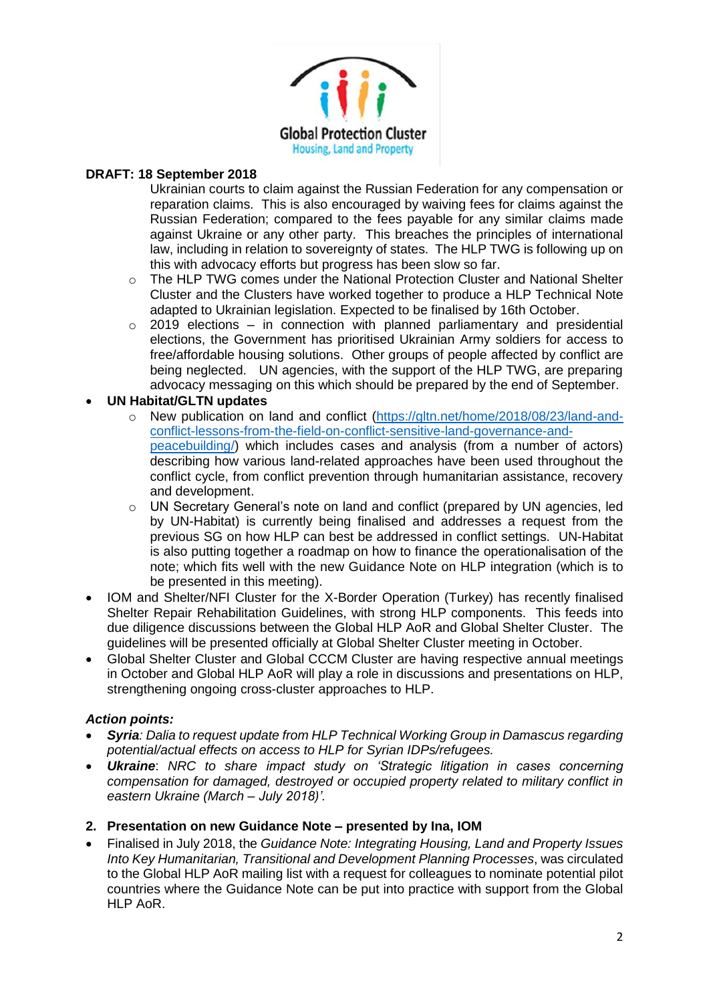

Ukrainian courts to claim against the Russian Federation for any compensation or reparation claims. This is also encouraged by waiving fees for claims against the Russian Federation; compared to the fees payable for any similar claims made against Ukraine or any other party. This breaches the principles of international law, including in relation to sovereignty of states. The HLP TWG is following up on this with advocacy efforts but progress has been slow so far.

- o The HLP TWG comes under the National Protection Cluster and National Shelter Cluster and the Clusters have worked together to produce a HLP Technical Note adapted to Ukrainian legislation. Expected to be finalised by 16th October.
- $\circ$  2019 elections in connection with planned parliamentary and presidential elections, the Government has prioritised Ukrainian Army soldiers for access to free/affordable housing solutions. Other groups of people affected by conflict are being neglected. UN agencies, with the support of the HLP TWG, are preparing advocacy messaging on this which should be prepared by the end of September.

## • **UN Habitat/GLTN updates**

- o New publication on land and conflict [\(https://gltn.net/home/2018/08/23/land-and](https://gltn.net/home/2018/08/23/land-and-conflict-lessons-from-the-field-on-conflict-sensitive-land-governance-and-peacebuilding/)[conflict-lessons-from-the-field-on-conflict-sensitive-land-governance-and](https://gltn.net/home/2018/08/23/land-and-conflict-lessons-from-the-field-on-conflict-sensitive-land-governance-and-peacebuilding/)[peacebuilding/\)](https://gltn.net/home/2018/08/23/land-and-conflict-lessons-from-the-field-on-conflict-sensitive-land-governance-and-peacebuilding/) which includes cases and analysis (from a number of actors) describing how various land-related approaches have been used throughout the conflict cycle, from conflict prevention through humanitarian assistance, recovery and development.
- o UN Secretary General's note on land and conflict (prepared by UN agencies, led by UN-Habitat) is currently being finalised and addresses a request from the previous SG on how HLP can best be addressed in conflict settings. UN-Habitat is also putting together a roadmap on how to finance the operationalisation of the note; which fits well with the new Guidance Note on HLP integration (which is to be presented in this meeting).
- IOM and Shelter/NFI Cluster for the X-Border Operation (Turkey) has recently finalised Shelter Repair Rehabilitation Guidelines, with strong HLP components. This feeds into due diligence discussions between the Global HLP AoR and Global Shelter Cluster. The guidelines will be presented officially at Global Shelter Cluster meeting in October.
- Global Shelter Cluster and Global CCCM Cluster are having respective annual meetings in October and Global HLP AoR will play a role in discussions and presentations on HLP, strengthening ongoing cross-cluster approaches to HLP.

#### *Action points:*

- *Syria: Dalia to request update from HLP Technical Working Group in Damascus regarding potential/actual effects on access to HLP for Syrian IDPs/refugees.*
- *Ukraine*: *NRC to share impact study on 'Strategic litigation in cases concerning compensation for damaged, destroyed or occupied property related to military conflict in eastern Ukraine (March – July 2018)'.*

# **2. Presentation on new Guidance Note – presented by Ina, IOM**

• Finalised in July 2018, the *Guidance Note: Integrating Housing, Land and Property Issues Into Key Humanitarian, Transitional and Development Planning Processes*, was circulated to the Global HLP AoR mailing list with a request for colleagues to nominate potential pilot countries where the Guidance Note can be put into practice with support from the Global HLP AoR.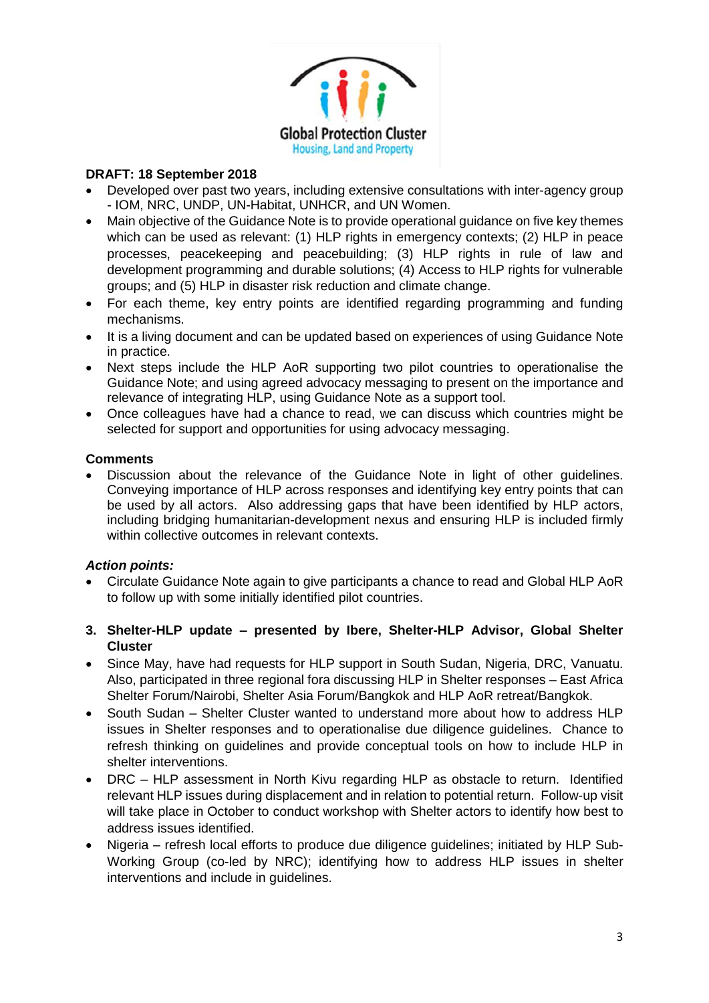

- Developed over past two years, including extensive consultations with inter-agency group - IOM, NRC, UNDP, UN-Habitat, UNHCR, and UN Women.
- Main objective of the Guidance Note is to provide operational guidance on five key themes which can be used as relevant: (1) HLP rights in emergency contexts; (2) HLP in peace processes, peacekeeping and peacebuilding; (3) HLP rights in rule of law and development programming and durable solutions; (4) Access to HLP rights for vulnerable groups; and (5) HLP in disaster risk reduction and climate change.
- For each theme, key entry points are identified regarding programming and funding mechanisms.
- It is a living document and can be updated based on experiences of using Guidance Note in practice.
- Next steps include the HLP AoR supporting two pilot countries to operationalise the Guidance Note; and using agreed advocacy messaging to present on the importance and relevance of integrating HLP, using Guidance Note as a support tool.
- Once colleagues have had a chance to read, we can discuss which countries might be selected for support and opportunities for using advocacy messaging.

#### **Comments**

• Discussion about the relevance of the Guidance Note in light of other guidelines. Conveying importance of HLP across responses and identifying key entry points that can be used by all actors. Also addressing gaps that have been identified by HLP actors, including bridging humanitarian-development nexus and ensuring HLP is included firmly within collective outcomes in relevant contexts.

#### *Action points:*

- Circulate Guidance Note again to give participants a chance to read and Global HLP AoR to follow up with some initially identified pilot countries.
- **3. Shelter-HLP update – presented by Ibere, Shelter-HLP Advisor, Global Shelter Cluster**
- Since May, have had requests for HLP support in South Sudan, Nigeria, DRC, Vanuatu. Also, participated in three regional fora discussing HLP in Shelter responses – East Africa Shelter Forum/Nairobi, Shelter Asia Forum/Bangkok and HLP AoR retreat/Bangkok.
- South Sudan Shelter Cluster wanted to understand more about how to address HLP issues in Shelter responses and to operationalise due diligence guidelines. Chance to refresh thinking on guidelines and provide conceptual tools on how to include HLP in shelter interventions.
- DRC HLP assessment in North Kivu regarding HLP as obstacle to return. Identified relevant HLP issues during displacement and in relation to potential return. Follow-up visit will take place in October to conduct workshop with Shelter actors to identify how best to address issues identified.
- Nigeria refresh local efforts to produce due diligence guidelines; initiated by HLP Sub-Working Group (co-led by NRC); identifying how to address HLP issues in shelter interventions and include in guidelines.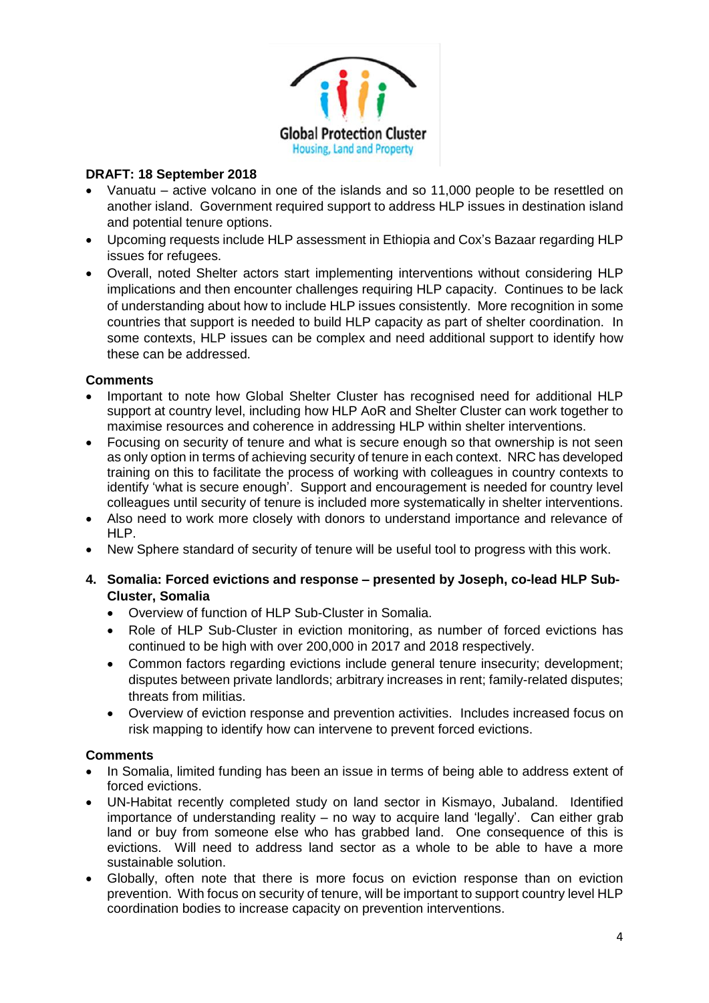

- Vanuatu active volcano in one of the islands and so 11,000 people to be resettled on another island. Government required support to address HLP issues in destination island and potential tenure options.
- Upcoming requests include HLP assessment in Ethiopia and Cox's Bazaar regarding HLP issues for refugees.
- Overall, noted Shelter actors start implementing interventions without considering HLP implications and then encounter challenges requiring HLP capacity. Continues to be lack of understanding about how to include HLP issues consistently. More recognition in some countries that support is needed to build HLP capacity as part of shelter coordination. In some contexts, HLP issues can be complex and need additional support to identify how these can be addressed.

#### **Comments**

- Important to note how Global Shelter Cluster has recognised need for additional HLP support at country level, including how HLP AoR and Shelter Cluster can work together to maximise resources and coherence in addressing HLP within shelter interventions.
- Focusing on security of tenure and what is secure enough so that ownership is not seen as only option in terms of achieving security of tenure in each context. NRC has developed training on this to facilitate the process of working with colleagues in country contexts to identify 'what is secure enough'. Support and encouragement is needed for country level colleagues until security of tenure is included more systematically in shelter interventions.
- Also need to work more closely with donors to understand importance and relevance of HLP.
- New Sphere standard of security of tenure will be useful tool to progress with this work.
- **4. Somalia: Forced evictions and response – presented by Joseph, co-lead HLP Sub-Cluster, Somalia**
	- Overview of function of HLP Sub-Cluster in Somalia.
	- Role of HLP Sub-Cluster in eviction monitoring, as number of forced evictions has continued to be high with over 200,000 in 2017 and 2018 respectively.
	- Common factors regarding evictions include general tenure insecurity; development; disputes between private landlords; arbitrary increases in rent; family-related disputes; threats from militias.
	- Overview of eviction response and prevention activities. Includes increased focus on risk mapping to identify how can intervene to prevent forced evictions.

#### **Comments**

- In Somalia, limited funding has been an issue in terms of being able to address extent of forced evictions.
- UN-Habitat recently completed study on land sector in Kismayo, Jubaland. Identified importance of understanding reality – no way to acquire land 'legally'. Can either grab land or buy from someone else who has grabbed land. One consequence of this is evictions. Will need to address land sector as a whole to be able to have a more sustainable solution.
- Globally, often note that there is more focus on eviction response than on eviction prevention. With focus on security of tenure, will be important to support country level HLP coordination bodies to increase capacity on prevention interventions.